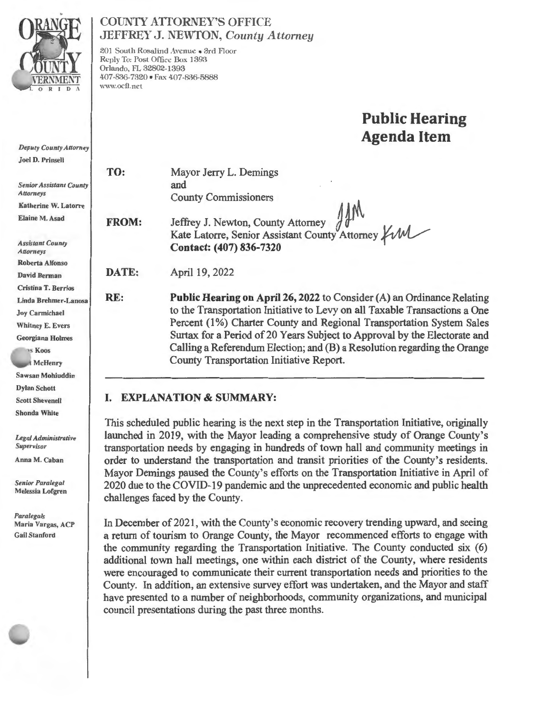

# COUNTY ATIORNEY'S OFFICE **JEFFREY J. NEWTON,** *County Attorney*

201 South Rosalind Avenue • 3rrl Floor Reply To: Post Office Box 1393 Orlando, FL 32802-1393 407-836-7320 • Fax 407-836-5888 \\'\\'W.oeO. net

# **Public Hearing Agenda Item**

**TO: FROM: DATE: RE:**  Mayor Jerry L. Demings and County Commissioners **Jeffrey J. Newton, County Attorney j** *i('A.*  Kate Latorre , Senior **Contact: ( 407) 836-7320**  SID<br>
Sunty Attorney 11M<br>
Assistant County Attorney *Y* M April 19, 2022

**Public Hearing on April 26, 2022** to Consider (A) an Ordinance Relating to the Transportation Initiative to Levy on all Taxable Transactions a One Percent (1%) Charter County and Regional Transportation System Sales Surtax for a Period of 20 Years Subject to Approval by the Electorate and Calling a Referendum Election; and (B) a Resolution regarding the Orange County Transportation Initiative Report.

# **I. EXPLANATION & SUMMARY:**

This scheduled public hearing is the next step in the Transportation Initiative, originally launched in 2019, with the Mayor leading a comprehensive study of Orange County's transportation needs by engaging in hundreds of town hall and community meetings in order to understand the transportation and transit priorities of the County's residents. Mayor Demings paused the County's efforts on the Transportation Initiative in April of 2020 due to the COVID-19 pandemic and the unprecedented economic and public health challenges faced by the County.

In December of 2021 , with the County's economic recovery trending upward, and seeing a return of tourism to Orange County, the Mayor recommenced efforts to engage with the community regarding the Transportation Initiative. The County conducted six (6) additional town hall meetings, one within each district of the County, where residents were encouraged to communicate their current transportation needs and priorities to the County. In addition, an extensive survey effort was undertaken, and the Mayor and staff have presented to a number of neighborhoods, community organizations, and municipal council presentations during the past three months.

*Deputy County Allorney*  Joel D. Prinsell

*Senior Assistant County Attorneys*  Ka therine W. Latorre Elaine M. Asad

*Assistant County Attorneys*  Roberta Alfonso David Berman Cristina T. Berrios Linda Brehmer-Lanosa Joy Carmichael Whitney E. Evers Georgiana Holmes

s Koos McHenry Sawsan Mohiuddin Dylan Schott Scott Shevenell Shonda White

*Legal Administrative Supervisor* 

Anna M. Caban

*Senior Paralegal*  Melessia Lofgren

*Paralegals*  Maria Vargas, ACP Gail Stanford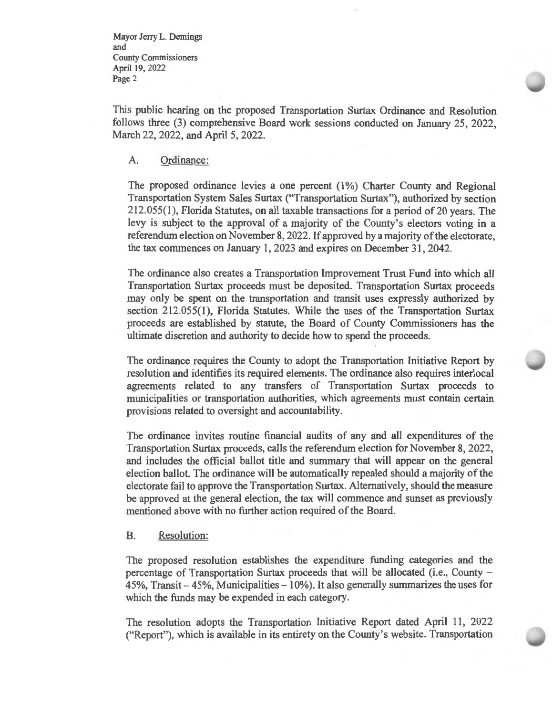Mayor Jerry L. Demings and County Commissioners April 19, 2022 Page 2

This public hearing on the proposed Transportation Surtax Ordinance and Resolution follows three (3) comprehensive Board work sessions conducted on January 25, 2022, March 22, 2022, and April 5, 2022.

### A. Ordinance:

The proposed ordinance levies a one percent (1%) Charter County and Regional Transportation System Sales Surtax ("Transportation Surtax"), authorized by section 212.055(1), Florida Statutes, on all taxable transactions for a period of 20 years. The levy is subject to the approval of a majority of the County's electors voting in a referendum election on November 8, 2022. If approved by a majority of the electorate, the tax commences on January I, 2023 and expires on December 31, 2042.

The ordinance also creates a Transportation Improvement Trust Fund into which all Transportation Surtax proceeds must be deposited. Transportation Surtax proceeds may only be spent on the transportation and transit uses expressly authorized by section 212.055(1), Florida Statutes. While the uses of the Transportation Surtax proceeds are established by statute, the Board of County Commissioners has the ultimate discretion and authority to decide how to spend the proceeds.

The ordinance requires the County to adopt the Transportation Initiative Report by resolution and identifies its required elements. The ordinance also requires interlocal agreements related to any transfers of Transportation Surtax proceeds to municipalities or transportation authorities, which agreements must contain certain provisions related to oversight and accountability.

The ordinance invites routine financial audits of any and all expenditures of the Transportation Surtax proceeds, calls the referendum election for November 8, 2022, and includes the official ballot title and summary that will appear on the general election ballot. The ordinance will be automatically repealed should a majority of the electorate fail to approve the Transportation Surtax. Alternatively, should the measure be approved at the general election, the tax will commence and sunset as previously mentioned above with no further action required of the Board.

### B. Resolution:

The proposed resolution establishes the expenditure funding categories and the percentage of Transportation Surtax proceeds that will be allocated (i.e., County -  $45\%$ , Transit  $-45\%$ , Municipalities  $-10\%$ ). It also generally summarizes the uses for which the funds may be expended in each category.

The resolution adopts the Transportation Initiative Report dated April 11, 2022 ("Report"), which is available in its entirety on the County's website. Transportation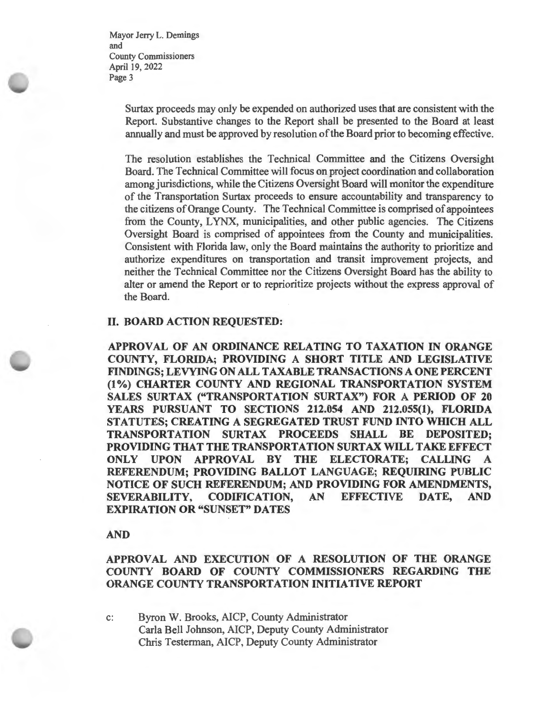Mayor Jerry L. Demings and County Commissioners April 19, 2022 Page 3

> Surtax proceeds may only be expended on authorized uses that are consistent with the Report. Substantive changes to the Report shall be presented to the Board at least annually and must be approved by resolution of the Board prior to becoming effective.

> The resolution establishes the Technical Committee and the Citizens Oversight Board. The Technical Committee will focus on project coordination and collaboration among jurisdictions, while the Citizens Oversight Board will monitor the expenditure of the Transportation Surtax proceeds to ensure accountability and transparency to the citizens of Orange County. The Technical Committee is comprised of appointees from the County, LYNX, municipalities, and other public agencies. The Citizens Oversight Board is comprised of appointees from the County and municipalities. Consistent with Florida law, only the Board maintains the authority to prioritize and authorize expenditures on transportation and transit improvement projects, and neither the Technical Committee nor the Citizens Oversight Board has the ability to alter or amend the Report or to reprioritize projects without the express approval of the Board.

### II. **BOARD ACTION REQUESTED:**

**APPROVAL OF AN ORDINANCE RELATING TO TAXATION IN ORANGE COUNTY, FLORIDA; PROVIDING A SHORT TITLE AND LEGISLATIVE FINDINGS; LEVYING ON ALL TAXABLE TRANSACTIONS A ONE PERCENT (1%) CHARTER COUNTY AND REGIONAL TRANSPORTATION SYSTEM**  SALES SURTAX ("TRANSPORTATION SURTAX") FOR A PERIOD OF 20 **YEARS PURSUANT TO SECTIONS 212.054 AND 212.055(1), FLORIDA STATUTES; CREATING A SEGREGATED TRUST FUND INTO WHICH ALL TRANSPORTATION SURTAX PROCEEDS SHALL BE DEPOSITED; PROVIDING THAT THE TRANSPORTATION SURTAX WILL TAKE EFFECT ONLY UPON APPROVAL BY THE ELECTORATE; CALLING A REFERENDUM; PROVIDING BALLOT LANGUAGE; REQUIRING PUBLIC NOTICE OF SUCH REFERENDUM; AND PROVIDING FOR AMENDMENTS, SEVERABILITY, CODIFICATION, AN EFFECTIVE DATE, AND EXPIRATION OR "SUNSET" DATES** 

### **AND**

**APPROVAL AND EXECUTION OF A RESOLUTION OF THE ORANGE COUNTY BOARD OF COUNTY COMMISSIONERS REGARDING THE ORANGE COUNTY TRANSPORTATION INITIATIVE REPORT** 

c: Byron W. Brooks, AICP, County Administrator Carla Bell Johnson, AICP, Deputy County Administrator Chris Testerman, AICP, Deputy County Administrator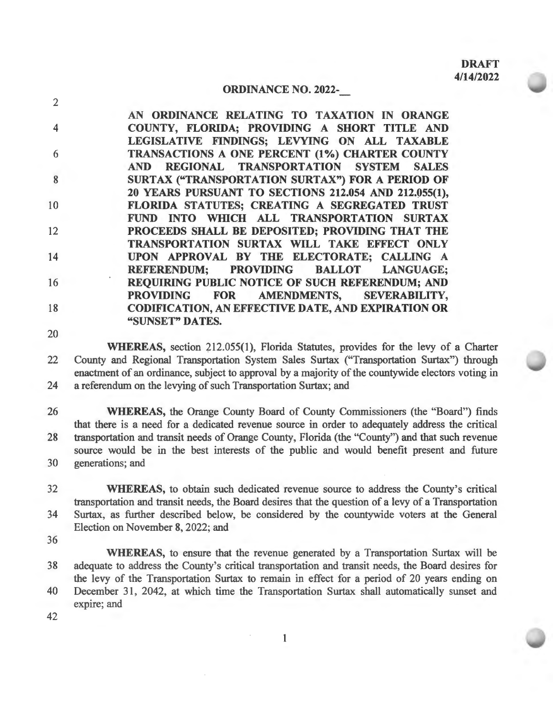### **ORDINANCE NO. 2022-**

4 6 8 10 12 14 16 18 **AN ORDINANCE RELATING TO TAXATION** IN **ORANGE COUNTY, FLORIDA; PROVIDING A SHORT TITLE AND LEGISLATIVE FINDINGS; LEVYING ON ALL TAXABLE TRANSACTIONS A ONE PERCENT (1** % ) **CHARTER COUNTY AND REGIONAL TRANSPORTATION SYSTEM SALES SURTAX ("TRANSPORTATION SURTAX") FOR A PERIOD OF 20 YEARS PURSUANT TO SECTIONS 212.054 AND 212.955(1), FLORIDA STATUTES; CREATING A SEGREGATED TRUST FUND INTO WHICH ALL TRANSPORTATION SURTAX PROCEEDS SHALL BE DEPOSITED; PROVIDING THAT THE TRANSPORTATION SURTAX WILL TAKE EFFECT ONLY UPON APPROVAL BY THE ELECTORATE; CALLING A REFERENDUM; PROVIDING BALLOT LANGUAGE; REQUIRING PUBLIC NOTICE OF SUCH REFERENDUM; AND PROVIDING FOR AMENDMENTS, SEVERABILITY, CODIFICATION, AN EFFECTIVE DATE, AND EXPIRATION OR "SUNSET" DA TES.** 

20

2

**WHEREAS,** section 212.055(1), Florida Statutes, provides for the levy of a Charter 22 County and Regional Transportation System Sales Surtax ("Transportation Surtax") through enactment of an ordinance, subject to approval by a majority of the countywide electors voting in 24 a referendum on the levying of such Transportation Surtax; and

26 **WHEREAS,** the Orange County Board of County Commissioners (the "Board") finds that there is a need for a dedicated revenue source in order to adequately address the critical 28 transportation and transit needs of Orange County, Florida (the "County") and that such revenue source would be in the best interests of the public and would benefit present and future 30 generations; and

32 **WHEREAS,** to obtain such dedicated revenue source to address the County's critical transportation and transit needs, the Board desires that the question of a levy of a Transportation 34 Surtax, as further described below, be considered by the countywide voters at the General Election on November 8, 2022; and

36

**WHEREAS,** to ensure that the revenue generated by a Transportation Surtax will be 38 adequate to address the County's critical transportation and transit needs, the Board desires for the levy of the Transportation Surtax to remain in effect for a period of 20 years ending on 40 December 31, 2042, at which time the Transportation Surtax shall automatically sunset and

expire; and

1

42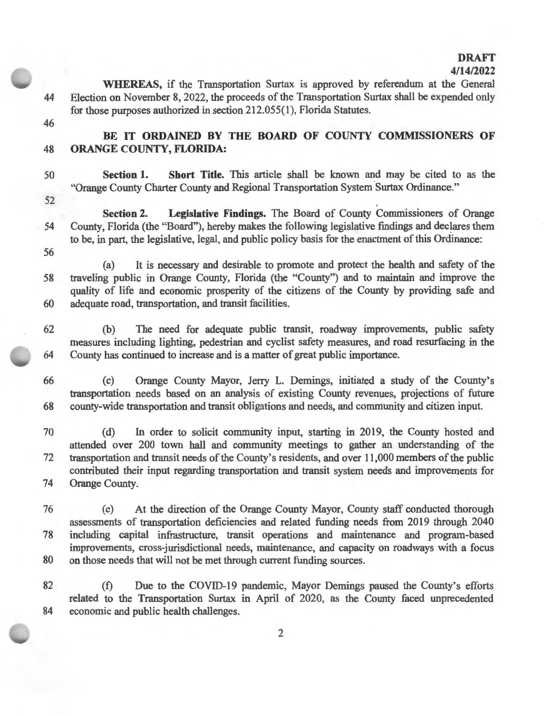### **DRAFT 4/14/2022**

**WHEREAS,** if the Transportation Surtax is approved by referendum at the General 44 Election on November 8, 2022, the proceeds of the Transportation Surtax shall be expended only for those purposes authorized in section 212.055(1), Florida Statutes.

- 46
- 

# BE IT ORDAINED BY THE BOARD OF COUNTY COMMISSIONERS OF 48 **ORANGE COUNTY, FLORIDA:**

50 **Section 1. Short Title.** This article shall be known and may be cited to as the "Orange County Charter County and Regional Transportation System Surtax Ordinance."

52

**Section 2. Legislative Findings.** The Board of County Commissioners of Orange 54 County, Florida (the "Board"), hereby makes the following legislative fmdings and declares them to be, in part, the legislative, legal, and public policy basis for the enactment of this Ordinance: 56

(a) It is necessary and desirable to promote and protect the health and safety of the 58 traveling public in Orange County, Florida (the "County") and to maintain and improve the quality of life and economic prosperity of the citizens of the County by providing safe and 60 adequate road, transportation, and transit facilities.

62 (b) The need for adequate public transit, roadway improvements, public safety measures including lighting, pedestrian and cyclist safety measures, and road resurfacing in the 64 County has continued to increase and is a matter of great public importance.

66 (c) Orange County Mayor, Jerry L. Dernings, initiated a study of the County's transportation needs based on an analysis of existing County revenues, projections of future 68 county-wide transportation and transit obligations and needs, and community and citizen input.

70 (d) In order to solicit community input, starting in 2019, the County hosted and attended over 200 town hall and community meetings to gather an understanding of the 72 transportation and transit needs of the County's residents, and over 11 ,000 members of the public contributed their input regarding transportation and transit system needs and improvements for 74 Orange County.

76 (e) At the direction of the Orange County Mayor, County staff conducted thorough assessments of transportation deficiencies and related funding needs from 2019 through 2040 78 including capital infrastructure, transit operations and maintenance and program-based improvements, cross-jurisdictional needs, maintenance, and capacity on roadways with a focus 80 on those needs that will not be met through current funding sources.

82 (f) Due to the COVID-19 pandemic, Mayor Demings paused the County's efforts related to the Transportation Surtax in April of 2020, as the County faced unprecedented 84 economic and public health challenges.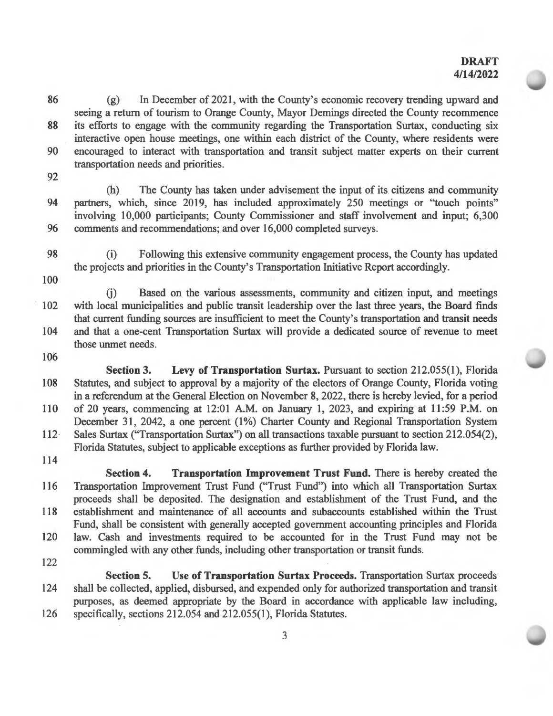86 (g) In December of 2021 , with the County's economic recovery trending upward and seeing a return of tourism to Orange County, Mayor Demings directed the County recommence 88 its efforts to engage with the community regarding the Transportation Surtax, conducting six interactive open house meetings, one within each district of the County, where residents were 90 encouraged to interact with transportation and transit subject matter experts on their current transportation needs and priorities.

92

(h) The County has taken under advisement the input of its citizens and community 94 partners, which, since 2019, has included approximately 250 meetings or "touch points" involving 10,000 participants; County Commissioner and staff involvement and input; 6,300 96 comments and recommendations; and over 16,000 completed surveys.

- 98 (i) Following this extensive community engagement process, the County has updated the projects and priorities in the County's Transportation Initiative Report accordingly.
- 100

G) Based on the various assessments, community and citizen input, and meetings 102 with local municipalities and public transit leadership over the last three years, the Board finds that current funding sources are insufficient to meet the County's transportation and transit needs 104 and that a one-cent Transportation Surtax will provide a dedicated source of revenue to meet those unmet needs.

- 106
- **Section 3.** Levy of Transportation Surtax. Pursuant to section 212.055(1), Florida 108 Statutes, and subject to approval by a majority of the electors of Orange County, Florida voting in a referendum at the General Election on November 8, 2022, there is hereby levied, for a period 110 of 20 years, commencing at 12:01 A.M. on January 1, 2023, and expiring at 11:59 P.M. on December 31, 2042, a one percent (1%) Charter County and Regional Transportation System

112· Sales Surtax ("Transportation Surtax") on all transactions taxable pursuant to section 212.054(2), Florida Statutes, subject to applicable exceptions as further provided by Florida law.

114

**Section 4.** Transportation Improvement Trust Fund. There is hereby created the 116 Transportation Improvement Trust Fund ("Trust Fund") into which all Transportation Surtax proceeds shall be deposited. The designation and establishment of the Trust Fund, and the 118 establishment and maintenance of all accounts and subaccounts established within the Trust Fund, shall be consistent with generally accepted government accounting principles and Florida 120 law. Cash and investments required to be accounted for in the Trust Fund may not be commingled with any other funds, including other transportation or transit funds.

122

**Section 5. Use of Transportation Surtax Proceeds.** Transportation Surtax proceeds 124 shall be collected, applied, disbursed, and expended only for authorized transportation and transit purposes, as deemed appropriate by the Board in accordance with applicable law including, 126 specifically, sections 212.054 and 212.055(1), Florida Statutes.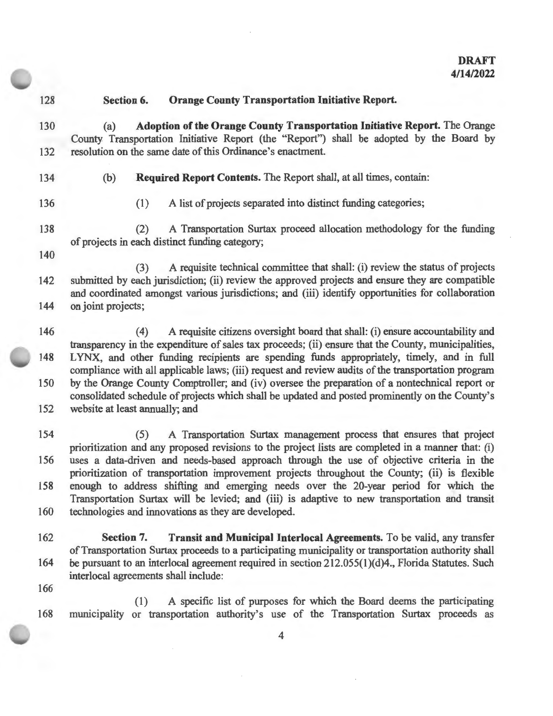$\epsilon$ 

| 128 | <b>Orange County Transportation Initiative Report.</b><br>Section 6.                                                                                                                                                                                                                          |  |  |  |
|-----|-----------------------------------------------------------------------------------------------------------------------------------------------------------------------------------------------------------------------------------------------------------------------------------------------|--|--|--|
| 130 | Adoption of the Orange County Transportation Initiative Report. The Orange<br>(a)<br>County Transportation Initiative Report (the "Report") shall be adopted by the Board by                                                                                                                  |  |  |  |
| 132 | resolution on the same date of this Ordinance's enactment.                                                                                                                                                                                                                                    |  |  |  |
| 134 | Required Report Contents. The Report shall, at all times, contain:<br>(b)                                                                                                                                                                                                                     |  |  |  |
| 136 | A list of projects separated into distinct funding categories;<br>(1)                                                                                                                                                                                                                         |  |  |  |
| 138 | A Transportation Surtax proceed allocation methodology for the funding<br>(2)<br>of projects in each distinct funding category;                                                                                                                                                               |  |  |  |
| 140 |                                                                                                                                                                                                                                                                                               |  |  |  |
| 142 | A requisite technical committee that shall: (i) review the status of projects<br>(3)<br>submitted by each jurisdiction; (ii) review the approved projects and ensure they are compatible<br>and coordinated amongst various jurisdictions; and (iii) identify opportunities for collaboration |  |  |  |
| 144 | on joint projects;                                                                                                                                                                                                                                                                            |  |  |  |
| 146 | A requisite citizens oversight board that shall: (i) ensure accountability and<br>(4)<br>transparency in the expenditure of sales tax proceeds; (ii) ensure that the County, municipalities,                                                                                                  |  |  |  |
| 148 | LYNX, and other funding recipients are spending funds appropriately, timely, and in full<br>compliance with all applicable laws; (iii) request and review audits of the transportation program                                                                                                |  |  |  |
| 150 | by the Orange County Comptroller; and (iv) oversee the preparation of a nontechnical report or<br>consolidated schedule of projects which shall be updated and posted prominently on the County's                                                                                             |  |  |  |
| 152 | website at least annually; and                                                                                                                                                                                                                                                                |  |  |  |
| 154 | A Transportation Surtax management process that ensures that project<br>(5)<br>prioritization and any proposed revisions to the project lists are completed in a manner that: (i)                                                                                                             |  |  |  |
| 156 | uses a data-driven and needs-based approach through the use of objective criteria in the<br>prioritization of transportation improvement projects throughout the County; (ii) is flexible                                                                                                     |  |  |  |
| 158 | enough to address shifting and emerging needs over the 20-year period for which the<br>Transportation Surtax will be levied; and (iii) is adaptive to new transportation and transit                                                                                                          |  |  |  |
| 160 | technologies and innovations as they are developed.                                                                                                                                                                                                                                           |  |  |  |
| 162 | Section 7.<br>Transit and Municipal Interlocal Agreements. To be valid, any transfer                                                                                                                                                                                                          |  |  |  |
| 164 | of Transportation Surtax proceeds to a participating municipality or transportation authority shall<br>be pursuant to an interlocal agreement required in section 212.055(1)(d)4., Florida Statutes. Such<br>interlocal agreements shall include:                                             |  |  |  |
| 166 |                                                                                                                                                                                                                                                                                               |  |  |  |
| 168 | A specific list of purposes for which the Board deems the participating<br>(1)<br>or transportation authority's use of the Transportation Surtax proceeds as<br>municipality                                                                                                                  |  |  |  |

 $\sim$ 

 $\sim$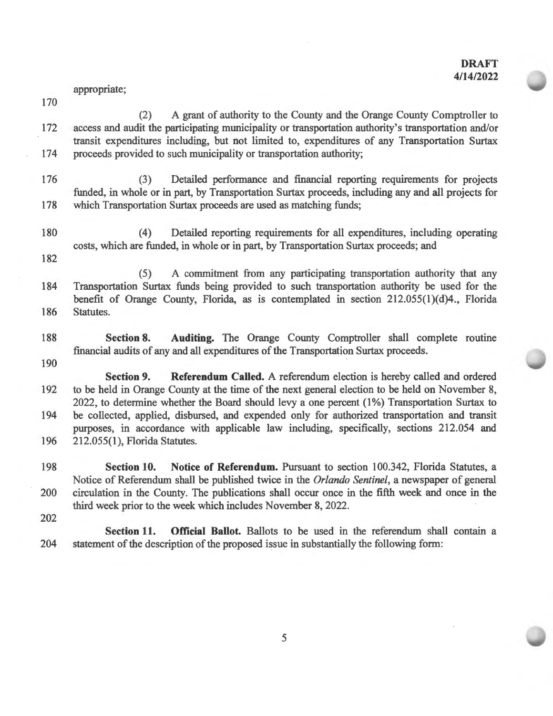appropriate;

- (2) A grant of authority to the County and the Orange County Comptroller to 172 access and audit the participating municipality or transportation authority's transportation and/or transit expenditures including, but not limited to, expenditures of any Transportation Surtax 174 proceeds provided to such municipality or transportation authority;
- 176 (3) Detailed performance and financial reporting requirements for projects funded, in whole or in part, by Transportation Surtax proceeds, including any and all projects for 178 which Transportation Surtax proceeds are used as matching funds;
- 180 ( 4) Detailed reporting requirements for all expenditures, including operating costs, which are funded, in whole or in part, by Transportation Surtax proceeds; and

182

170

(5) A commitment from any participating transportation authority that any 184 Transportation Surtax funds being provided to such transportation authority be used for the benefit of Orange County, Florida, as is contemplated in section 212.055(1)(d)4., Florida 186 Statutes.

- 188 **Section 8. Auditing.** The Orange County Comptroller shall complete routine financial audits of any and all expenditures of the Transportation Surtax proceeds.
- 190

**Section 9. Referendum Called.** A referendum election is hereby called and ordered 192 to be held in Orange County at the time of the next general election to be held on November 8, 2022, to determine whether the Board should levy a one percent (1%) Transportation Surtax to 194 be collected, applied, disbursed, and expended only for authorized transportation and transit purposes, in accordance with applicable law including, specifically, sections 212.054 and 196 212.055(1), Florida Statutes.

- 198 **Section 10. Notice of Referendum.** Pursuant to section 100.342, Florida Statutes, a Notice of Referendum shall be published twice in the *Orlando Sentinel,* a newspaper of general 200 circulation in the County. The publications shall occur once in the fifth week and once in the third week prior to the week which includes November 8, 2022.
- 202

**Section 11. Official Ballot.** Ballots to be used in the referendum shall contain a 204 statement of the description of the proposed issue in substantially the following form: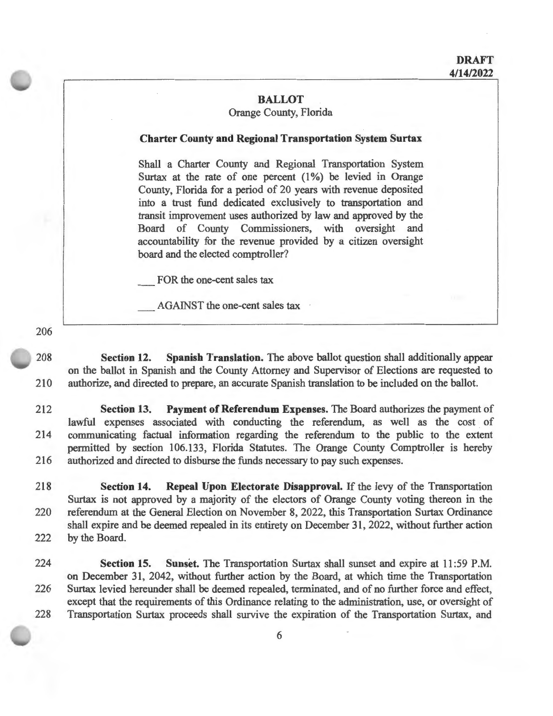### **BALLOT**

### Orange County, Florida

#### **Charter County and Regional Transportation System Surtax**

Shall a Charter County and Regional Transportation System Surtax at the rate of one percent  $(1%)$  be levied in Orange County, Florida for a period of 20 years with revenue deposited into a trust fund dedicated exclusively to transportation and transit improvement uses authorized by law and approved by the Board of County Commissioners, with oversight and accountability for the revenue provided by a citizen oversight board and the elected comptroller?

FOR the one-cent sales tax

AGAINST the one-cent sales tax

206

208 **Section 12. Spanish Translation.** The above ballot question shall additionally appear on the ballot in Spanish and the County Attorney and Supervisor of Elections are requested to 210 authorize, and directed to prepare, an accurate Spanish translation to be included on the ballot.

212 **Section 13. Payment of Referendum Expenses.** The Board authorizes the payment of lawful expenses associated with conducting the referendum, as well as the cost of 214 communicating factual information regarding the referendum to the public to the extent permitted by section 106.133, Florida Statutes. The Orange County Comptroller is hereby 216 authorized and directed to disburse the funds necessary to pay such expenses.

218 **Section 14. Repeal Upon Electorate Disapproval.** If the levy of the Transportation Surtax is not approved by a majority of the electors of Orange County voting thereon in the 220 referendum at the General Election on November 8, 2022, this Transportation Surtax Ordinance shall expire and be deemed repealed in its entirety on December 31, 2022, without further action 222 by the Board.

224 **Section 15. Sunset.** The Transportation Surtax shall sunset and expire at 11 :59 P.M. on December 31, 2042, without further action by the Board, at which time the Transportation 226 Surtax levied hereunder shall be deemed repealed, terminated, and of no further force and effect, except that the requirements of this Ordinance relating to the administration, use, or oversight of 228 Transportation Surtax proceeds shall survive the expiration of the Transportation Surtax, and

6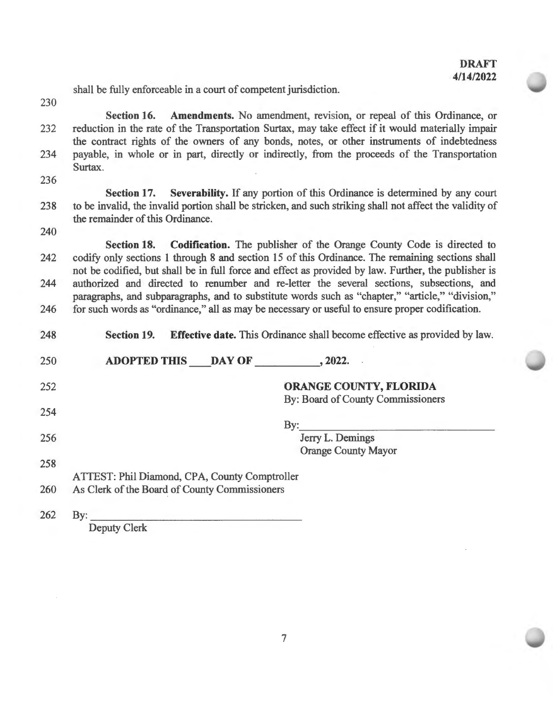shall be fully enforceable in a court of competent jurisdiction.

230

Section 16. Amendments. No amendment, revision, or repeal of this Ordinance, or 232 reduction in the rate of the Transportation Surtax, may take effect if it would materially impair the contract rights of the owners of any bonds, notes, or other instruments of indebtedness 234 payable, in whole or in part, directly or indirectly, from the proceeds of the Transportation Surtax.

236

**Section 17. Severability.** If any portion of this Ordinance is determined by any court 238 to be invalid, the invalid portion shall be stricken, and such striking shall not affect the validity of the remainder of this Ordinance.

240

**Section 18. Codification.** The publisher of the Orange County Code is directed to 242 codify only sections 1 through 8 and section 15 of this Ordinance. The remaining sections shall not be codified, but shall be in full force and effect as provided by law. Further, the publisher is 244 authorized and directed to renumber and re-letter the several sections, subsections, and paragraphs, and subparagraphs, and to substitute words such as "chapter," "article," "division," 246 for such words as "ordinance," all as may be necessary or useful to ensure proper codification.

| 248 | <b>Effective date.</b> This Ordinance shall become effective as provided by law.<br><b>Section 19.</b> |  |  |
|-----|--------------------------------------------------------------------------------------------------------|--|--|
| 250 | ADOPTED THIS DAY OF , 2022.                                                                            |  |  |
| 252 | <b>ORANGE COUNTY, FLORIDA</b>                                                                          |  |  |
| 254 | By: Board of County Commissioners                                                                      |  |  |
| 256 | $\mathbf{By:}$<br>Jerry L. Demings                                                                     |  |  |
| 258 | <b>Orange County Mayor</b>                                                                             |  |  |
| 260 | ATTEST: Phil Diamond, CPA, County Comptroller<br>As Clerk of the Board of County Commissioners         |  |  |
| 262 | $\mathbf{By:}$                                                                                         |  |  |

Deputy Clerk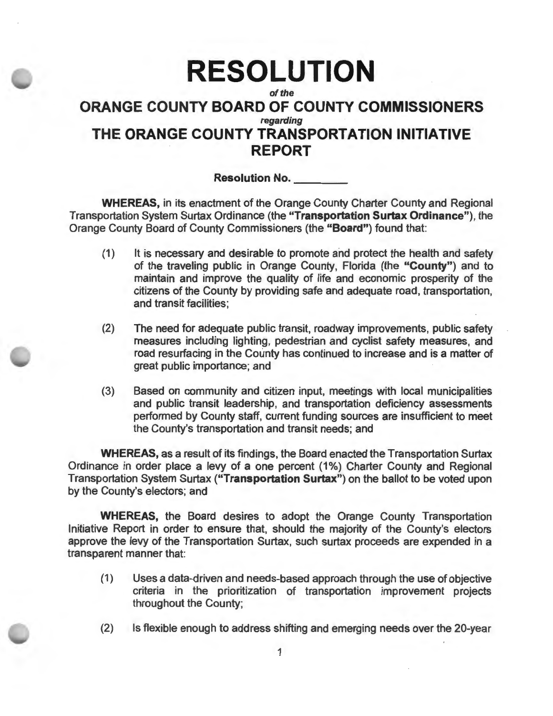# **RESOLUTION of the ORANGE COUNTY BOARD OF COUNTY COMMISSIONERS regarding THE ORANGE COUNTY TRANSPORTATION INITIATIVE REPORT**

**Resolution No.** 

**WHEREAS,** in its enactment of the Orange County Charter County and Regional Transportation System Surtax Ordinance (the **"Transportation Surtax Ordinance"),** the Orange County Board of County Commissioners (the **"Board")** found that:

- (1) It is necessary and desirable to promote and protect the health and safety of the traveling public in Orange County, Florida (the **"County")** and to maintain and improve the quality of life and economic prosperity of the citizens of the County by providing safe and adequate road, transportation, and transit facilities;
- (2) The need for adequate public transit, roadway improvements, public safety measures including lighting, pedestrian and cyclist safety measures, and road resurfacing in the County has continued to increase and is a matter of great public importance; and
- (3) Based on community and citizen input, meetings with local municipalities and public transit leadership, and transportation deficiency assessments performed by County staff, current funding sources are insufficient to meet the County's transportation and transit needs; and

**WHEREAS,** as a result of its findings, the Board enacted the Transportation Surtax Ordinance in order place a levy of a one percent (1%) Charter County and Regional Transportation System Surtax **("Transportation Surtax")** on the ballot to be voted upon by the County's electors; and

**WHEREAS,** the Board desires to adopt the Orange County Transportation Initiative Report in order to ensure that, should the majority of the County's electors approve the levy of the Transportation Surtax, such surtax proceeds are expended in a transparent manner that:

- (1) Uses a data-driven and needs-based approach through the use of objective criteria in the prioritization of transportation improvement projects throughout the County;
- (2) Is flexible enough to address shifting and emerging needs over the 20-year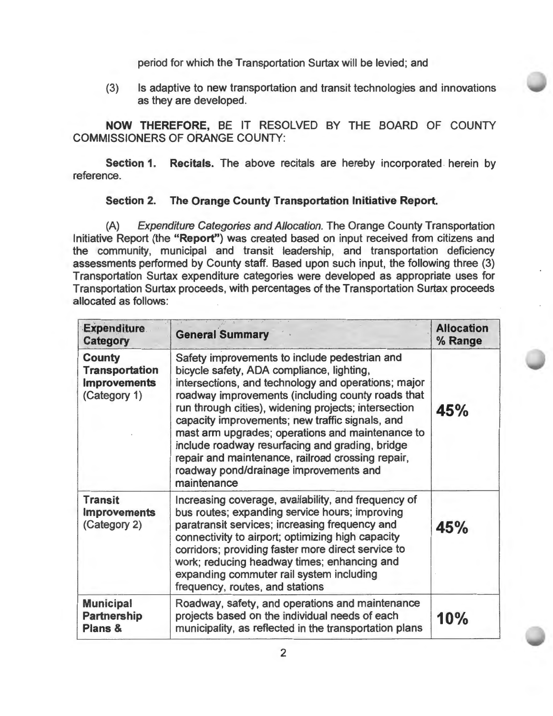period for which the Transportation Surtax will be levied; and

(3) Is adaptive to new transportation and transit technologies and innovations as they are developed.

**NOW THEREFORE,** BE IT RESOLVED BY THE BOARD OF COUNTY COMMISSIONERS OF ORANGE COUNTY:

**Section 1. Recitals.** The above recitals are hereby incorporated herein by reference.

# **Section 2. The Orange County Transportation Initiative Report.**

(A) Expenditure Categories and Allocation. The Orange County Transportation Initiative Report (the **"Report")** was created based on input received from citizens and the community, municipal and transit leadership, and transportation deficiency assessments performed by County staff. Based upon such input, the following three (3) Transportation Surtax expenditure categories were developed as appropriate uses for Transportation Surtax proceeds, with percentages of the Transportation Surtax proceeds allocated as follows:

| <b>Expenditure</b><br>Category                                                | <b>General Summary</b>                                                                                                                                                                                                                                                                                                                                                                                                                                                                                                                 | <b>Allocation</b><br>% Range |
|-------------------------------------------------------------------------------|----------------------------------------------------------------------------------------------------------------------------------------------------------------------------------------------------------------------------------------------------------------------------------------------------------------------------------------------------------------------------------------------------------------------------------------------------------------------------------------------------------------------------------------|------------------------------|
| <b>County</b><br><b>Transportation</b><br><b>Improvements</b><br>(Category 1) | Safety improvements to include pedestrian and<br>bicycle safety, ADA compliance, lighting,<br>intersections, and technology and operations; major<br>roadway improvements (including county roads that<br>run through cities), widening projects; intersection<br>capacity improvements; new traffic signals, and<br>mast arm upgrades; operations and maintenance to<br>include roadway resurfacing and grading, bridge<br>repair and maintenance, railroad crossing repair,<br>roadway pond/drainage improvements and<br>maintenance | 45%                          |
| <b>Transit</b><br><b>Improvements</b><br>(Category 2)                         | Increasing coverage, availability, and frequency of<br>bus routes; expanding service hours; improving<br>paratransit services; increasing frequency and<br>connectivity to airport; optimizing high capacity<br>corridors; providing faster more direct service to<br>work; reducing headway times; enhancing and<br>expanding commuter rail system including<br>frequency, routes, and stations                                                                                                                                       | 45%                          |
| <b>Municipal</b><br><b>Partnership</b><br>Plans &                             | Roadway, safety, and operations and maintenance<br>projects based on the individual needs of each<br>municipality, as reflected in the transportation plans                                                                                                                                                                                                                                                                                                                                                                            | 10%                          |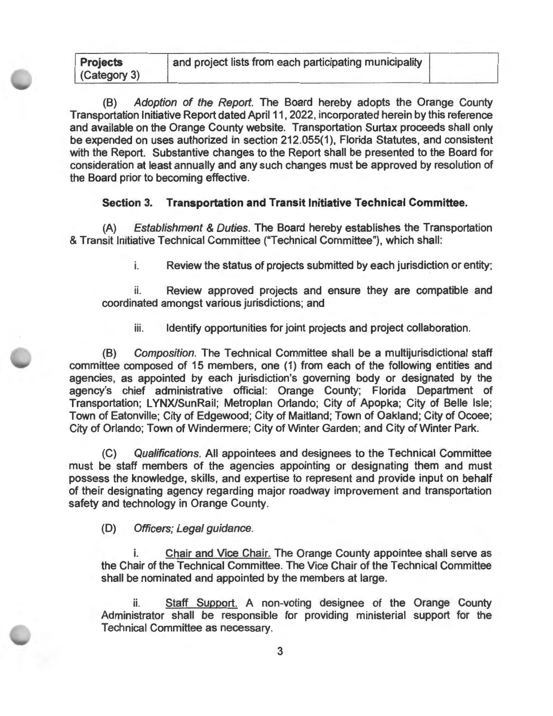(B) Adoption of the Report. The Board hereby adopts the Orange County Transportation Initiative Report dated April 11, 2022, incorporated herein by this reference and available on the Orange County website. Transportation Surtax proceeds shall only be expended on uses authorized in section 212.055(1), Florida Statutes, and consistent with the Report. Substantive changes to the Report shall be presented to the Board for consideration at least annually and any such changes must be approved by resolution of the Board prior to becoming effective.

### **Section 3. Transportation and Transit Initiative Technical Committee.**

(A) Establishment & Duties. The Board hereby establishes the Transportation & Transit Initiative Technical Committee ("Technical Committee"), which shall:

i. Review the status of projects submitted by each jurisdiction or entity;

ii. Review approved projects and ensure they are compatible and coordinated amongst various jurisdictions; and

iii. Identify opportunities for joint projects and project collaboration.

(B) Composition. The Technical Committee shall be a multijurisdictional staff committee composed of 15 members, one (1) from each of the following entities and agencies, as appointed by each jurisdiction's governing body or designated by the agency's chief administrative official: Orange County; Florida Department of Transportation; LYNX/SunRail; Metroplan Orlando; City of Apopka; City of Belle Isle; Town of Eatonville; City of Edgewood; City of Maitland; Town of Oakland; City of Ocoee; City of Orlando; Town of Windermere; City of Winter Garden; and City of Winter Park.

(C) Qualifications. All appointees and designees to the Technical Committee must be staff members of the agencies appointing or designating them and must possess the knowledge, skills, and expertise to represent and provide input on behalf of their designating agency regarding major roadway improvement and transportation safety and technology in Orange County.

(D) Officers; Legal guidance.

**Projects** 

i. Chair and Vice Chair. The Orange County appointee shall serve as the Chair of the Technical Committee. The Vice Chair of the Technical Committee shall be nominated and appointed by the members at large.

ii. Staff Support. A non-voting designee of the Orange County Administrator shall be responsible for providing ministerial support for the Technical Committee as necessary.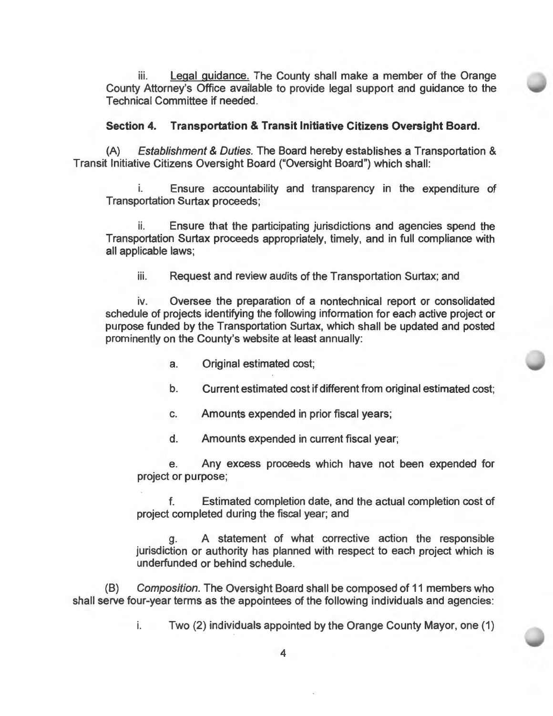iii. Legal guidance. The County shall make a member of the Orange County Attorney's Office available to provide legal support and guidance to the Technical Committee if needed.

### **Section 4. Transportation & Transit Initiative Citizens Oversight Board.**

(A) Establishment & Duties. The Board hereby establishes a Transportation & Transit Initiative Citizens Oversight Board ("Oversight Board") which shall:

Ensure accountability and transparency in the expenditure of Transportation Surtax proceeds;

ii. Ensure that the participating jurisdictions and agencies spend the Transportation Surtax proceeds appropriately, timely, and in full compliance with all applicable laws;

iii. Request and review audits of the Transportation Surtax; and

iv. Oversee the preparation of a nontechnical report or consolidated schedule of projects identifying the following information for each active project or purpose funded by the Transportation Surtax, which shall be updated and posted prominently on the County's website at least annually:

- a. Original estimated cost;
- b. Current estimated cost if different from original estimated cost;
- c. Amounts expended in prior fiscal years;
- d. Amounts expended in current fiscal year;

e. Any excess proceeds which have not been expended for project or purpose;

f. Estimated completion date, and the actual completion cost of project completed during the fiscal year; and

g. A statement of what corrective action the responsible jurisdiction or authority has planned with respect to each project which is underfunded or behind schedule.

(8) Composition. The Oversight Board shall be composed of 11 members who shall serve four-year terms as the appointees of the following individuals and agencies:

i. Two (2) individuals appointed by the Orange County Mayor, one (1)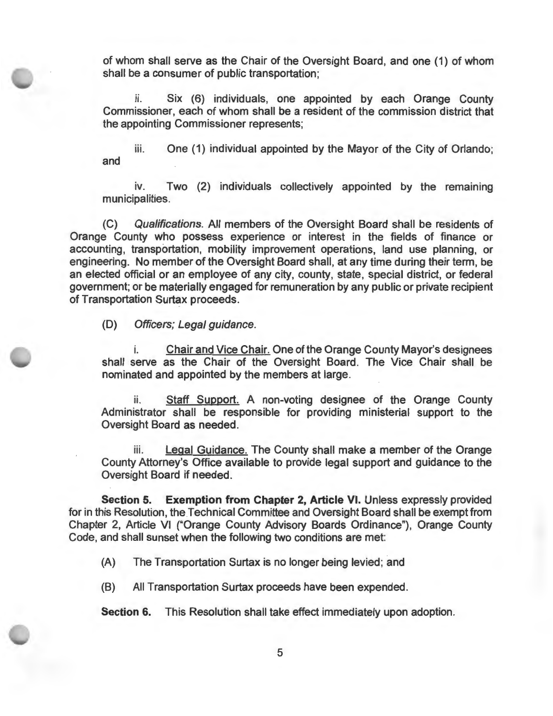of whom shall serve as the Chair of the Oversight Board, and one (1) of whom shall be a consumer of public transportation;

ii. Six (6) individuals, one appointed by each Orange County Commissioner, each of whom shall be a resident of the commission district that the appointing Commissioner represents;

iii. One (1) individual appointed by the Mayor of the City of Orlando; and

iv. Two (2) individuals collectively appointed by the remaining municipalities.

(C) Qualifications. All members of the Oversight Board shall be residents of Orange County who possess experience or interest in the fields of finance or accounting, transportation, mobility improvement operations, land use planning, or engineering. No member of the Oversight Board shall, at any time during their term, be an elected official or an employee of any city, county, state, special district, or federal government; or be materially engaged for remuneration by any public or private recipient of Transportation Surtax proceeds.

(D) Officers; Legal guidance.

i. Chair and Vice Chair. One of the Orange County Mayor's designees shall serve as the Chair of the Oversight Board. The Vice Chair shall be nominated and appointed by the members at large.

ii. Staff Support. A non-voting designee of the Orange County Administrator shall be responsible for providing ministerial support to the Oversight Board as needed.

iii. Legal Guidance. The County shall make a member of the Orange County Attorney's Office available to provide legal support and guidance to the Oversight Board if needed.

**Section 5. Exemption from Chapter 2, Article VI. Unless expressly provided** for in this Resolution, the Technical Committee and Oversight Board shall be exempt from Chapter 2, Article VI ("Orange County Advisory Boards Ordinance"), Orange County Code, and shall sunset when the following two conditions are met:

(A) The Transportation Surtax is no longer being levied; and

(B) All Transportation Surtax proceeds have been expended.

**Section 6.** This Resolution shall take effect immediately upon adoption.